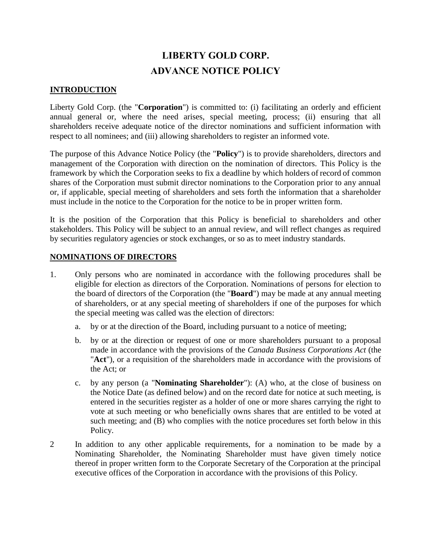## **LIBERTY GOLD CORP. ADVANCE NOTICE POLICY**

## **INTRODUCTION**

Liberty Gold Corp. (the "**Corporation**") is committed to: (i) facilitating an orderly and efficient annual general or, where the need arises, special meeting, process; (ii) ensuring that all shareholders receive adequate notice of the director nominations and sufficient information with respect to all nominees; and (iii) allowing shareholders to register an informed vote.

The purpose of this Advance Notice Policy (the "**Policy**") is to provide shareholders, directors and management of the Corporation with direction on the nomination of directors. This Policy is the framework by which the Corporation seeks to fix a deadline by which holders of record of common shares of the Corporation must submit director nominations to the Corporation prior to any annual or, if applicable, special meeting of shareholders and sets forth the information that a shareholder must include in the notice to the Corporation for the notice to be in proper written form.

It is the position of the Corporation that this Policy is beneficial to shareholders and other stakeholders. This Policy will be subject to an annual review, and will reflect changes as required by securities regulatory agencies or stock exchanges, or so as to meet industry standards.

## **NOMINATIONS OF DIRECTORS**

- 1. Only persons who are nominated in accordance with the following procedures shall be eligible for election as directors of the Corporation. Nominations of persons for election to the board of directors of the Corporation (the "**Board**") may be made at any annual meeting of shareholders, or at any special meeting of shareholders if one of the purposes for which the special meeting was called was the election of directors:
	- a. by or at the direction of the Board, including pursuant to a notice of meeting;
	- b. by or at the direction or request of one or more shareholders pursuant to a proposal made in accordance with the provisions of the *Canada Business Corporations Act* (the "**Act**"), or a requisition of the shareholders made in accordance with the provisions of the Act; or
	- c. by any person (a "**Nominating Shareholder**"): (A) who, at the close of business on the Notice Date (as defined below) and on the record date for notice at such meeting, is entered in the securities register as a holder of one or more shares carrying the right to vote at such meeting or who beneficially owns shares that are entitled to be voted at such meeting; and (B) who complies with the notice procedures set forth below in this Policy.
- 2 In addition to any other applicable requirements, for a nomination to be made by a Nominating Shareholder, the Nominating Shareholder must have given timely notice thereof in proper written form to the Corporate Secretary of the Corporation at the principal executive offices of the Corporation in accordance with the provisions of this Policy.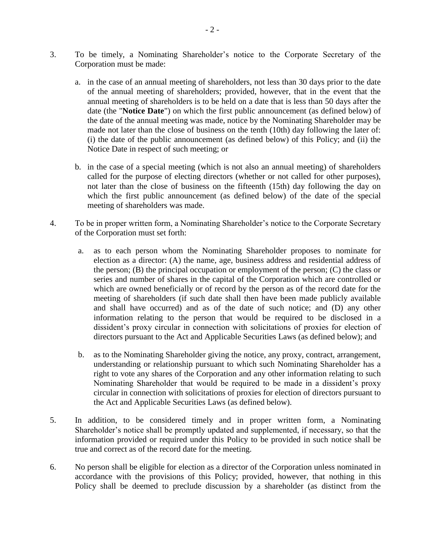- 3. To be timely, a Nominating Shareholder's notice to the Corporate Secretary of the Corporation must be made:
	- a. in the case of an annual meeting of shareholders, not less than 30 days prior to the date of the annual meeting of shareholders; provided, however, that in the event that the annual meeting of shareholders is to be held on a date that is less than 50 days after the date (the "**Notice Date**") on which the first public announcement (as defined below) of the date of the annual meeting was made, notice by the Nominating Shareholder may be made not later than the close of business on the tenth (10th) day following the later of: (i) the date of the public announcement (as defined below) of this Policy; and (ii) the Notice Date in respect of such meeting; or
	- b. in the case of a special meeting (which is not also an annual meeting) of shareholders called for the purpose of electing directors (whether or not called for other purposes), not later than the close of business on the fifteenth (15th) day following the day on which the first public announcement (as defined below) of the date of the special meeting of shareholders was made.
- 4. To be in proper written form, a Nominating Shareholder's notice to the Corporate Secretary of the Corporation must set forth:
	- a. as to each person whom the Nominating Shareholder proposes to nominate for election as a director: (A) the name, age, business address and residential address of the person;  $(B)$  the principal occupation or employment of the person;  $(C)$  the class or series and number of shares in the capital of the Corporation which are controlled or which are owned beneficially or of record by the person as of the record date for the meeting of shareholders (if such date shall then have been made publicly available and shall have occurred) and as of the date of such notice; and (D) any other information relating to the person that would be required to be disclosed in a dissident's proxy circular in connection with solicitations of proxies for election of directors pursuant to the Act and Applicable Securities Laws (as defined below); and
	- b. as to the Nominating Shareholder giving the notice, any proxy, contract, arrangement, understanding or relationship pursuant to which such Nominating Shareholder has a right to vote any shares of the Corporation and any other information relating to such Nominating Shareholder that would be required to be made in a dissident's proxy circular in connection with solicitations of proxies for election of directors pursuant to the Act and Applicable Securities Laws (as defined below).
- 5. In addition, to be considered timely and in proper written form, a Nominating Shareholder's notice shall be promptly updated and supplemented, if necessary, so that the information provided or required under this Policy to be provided in such notice shall be true and correct as of the record date for the meeting.
- 6. No person shall be eligible for election as a director of the Corporation unless nominated in accordance with the provisions of this Policy; provided, however, that nothing in this Policy shall be deemed to preclude discussion by a shareholder (as distinct from the